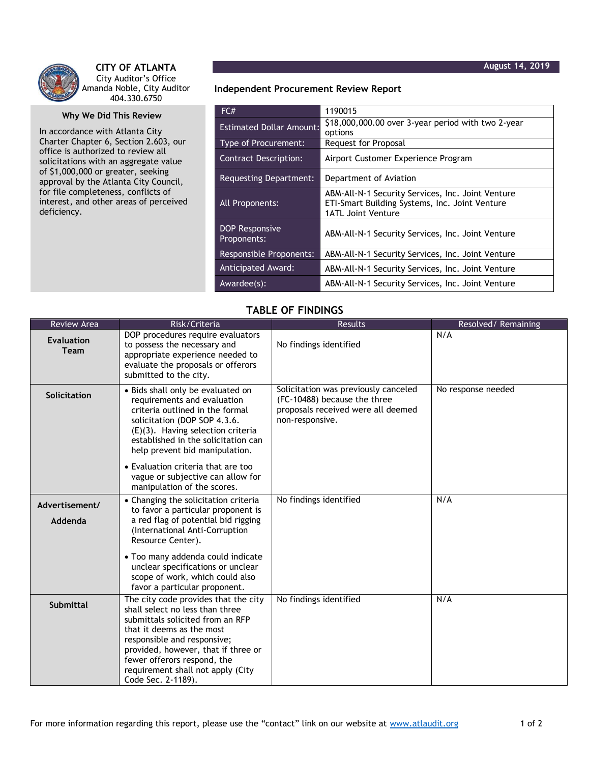

## **CITY OF ATLANTA** City Auditor's Office Amanda Noble, City Auditor 404.330.6750

## **Why We Did This Review**

In accordance with Atlanta City Charter Chapter 6, Section 2.603, our office is authorized to review all solicitations with an aggregate value of \$1,000,000 or greater, seeking approval by the Atlanta City Council, for file completeness, conflicts of interest, and other areas of perceived deficiency.

## **Independent Procurement Review Report**

| FC#                                  | 1190015                                                                                                                          |
|--------------------------------------|----------------------------------------------------------------------------------------------------------------------------------|
| <b>Estimated Dollar Amount:</b>      | \$18,000,000.00 over 3-year period with two 2-year<br>options                                                                    |
| <b>Type of Procurement:</b>          | Request for Proposal                                                                                                             |
| <b>Contract Description:</b>         | Airport Customer Experience Program                                                                                              |
| Requesting Department:               | Department of Aviation                                                                                                           |
| All Proponents:                      | ABM-All-N-1 Security Services, Inc. Joint Venture<br>ETI-Smart Building Systems, Inc. Joint Venture<br><b>1ATL Joint Venture</b> |
| <b>DOP Responsive</b><br>Proponents: | ABM-All-N-1 Security Services, Inc. Joint Venture                                                                                |
| <b>Responsible Proponents:</b>       | ABM-All-N-1 Security Services, Inc. Joint Venture                                                                                |
| <b>Anticipated Award:</b>            | ABM-All-N-1 Security Services, Inc. Joint Venture                                                                                |
| Awardee(s):                          | ABM-All-N-1 Security Services, Inc. Joint Venture                                                                                |

## **TABLE OF FINDINGS**

| <b>Review Area</b>               | Risk/Criteria                                                                                                                                                                                                                                                                                            | <b>Results</b>                                                                                                                | Resolved/Remaining |
|----------------------------------|----------------------------------------------------------------------------------------------------------------------------------------------------------------------------------------------------------------------------------------------------------------------------------------------------------|-------------------------------------------------------------------------------------------------------------------------------|--------------------|
| <b>Evaluation</b><br><b>Team</b> | DOP procedures require evaluators<br>to possess the necessary and<br>appropriate experience needed to<br>evaluate the proposals or offerors<br>submitted to the city.                                                                                                                                    | No findings identified                                                                                                        | N/A                |
| Solicitation                     | • Bids shall only be evaluated on<br>requirements and evaluation<br>criteria outlined in the formal<br>solicitation (DOP SOP 4.3.6.<br>$(E)(3)$ . Having selection criteria<br>established in the solicitation can<br>help prevent bid manipulation.                                                     | Solicitation was previously canceled<br>(FC-10488) because the three<br>proposals received were all deemed<br>non-responsive. | No response needed |
|                                  | • Evaluation criteria that are too<br>vague or subjective can allow for<br>manipulation of the scores.                                                                                                                                                                                                   |                                                                                                                               |                    |
| Advertisement/<br>Addenda        | • Changing the solicitation criteria<br>to favor a particular proponent is<br>a red flag of potential bid rigging<br>(International Anti-Corruption<br>Resource Center).                                                                                                                                 | No findings identified                                                                                                        | N/A                |
|                                  | • Too many addenda could indicate<br>unclear specifications or unclear<br>scope of work, which could also<br>favor a particular proponent.                                                                                                                                                               |                                                                                                                               |                    |
| <b>Submittal</b>                 | The city code provides that the city<br>shall select no less than three<br>submittals solicited from an RFP<br>that it deems as the most<br>responsible and responsive;<br>provided, however, that if three or<br>fewer offerors respond, the<br>requirement shall not apply (City<br>Code Sec. 2-1189). | No findings identified                                                                                                        | N/A                |